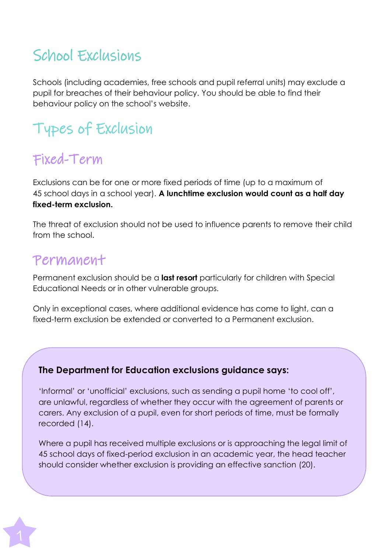## School Exclusions

Schools (including academies, free schools and pupil referral units) may exclude a pupil for breaches of their behaviour policy. You should be able to find their behaviour policy on the school's website.

# Types of Exclusion

## Fixed-Term

Exclusions can be for one or more fixed periods of time (up to a maximum of 45 school days in a school year). **A lunchtime exclusion would count as a half day fixed-term exclusion.**

The threat of exclusion should not be used to influence parents to remove their child from the school.

### Permanent

Permanent exclusion should be a **last resort** particularly for children with Special Educational Needs or in other vulnerable groups.

Only in exceptional cases, where additional evidence has come to light, can a fixed-term exclusion be extended or converted to a Permanent exclusion.

### **The Department for Education exclusions guidance says:**

'Informal' or 'unofficial' exclusions, such as sending a pupil home 'to cool off', are unlawful, regardless of whether they occur with the agreement of parents or carers. Any exclusion of a pupil, even for short periods of time, must be formally recorded (14).

Where a pupil has received multiple exclusions or is approaching the legal limit of 45 school days of fixed-period exclusion in an academic year, the head teacher should consider whether exclusion is providing an effective sanction (20).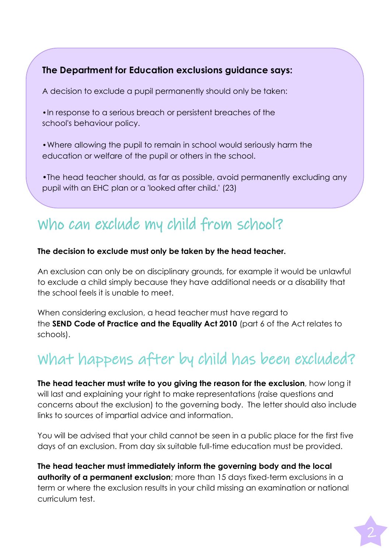#### **The Department for Education exclusions guidance says:**

A decision to exclude a pupil permanently should only be taken:

•In response to a serious breach or persistent breaches of the school's behaviour policy.

•Where allowing the pupil to remain in school would seriously harm the education or welfare of the pupil or others in the school.

•The head teacher should, as far as possible, avoid permanently excluding any pupil with an EHC plan or a 'looked after child.' (23)

## Who can exclude my child from school?

#### **The decision to exclude must only be taken by the head teacher.**

An exclusion can only be on disciplinary grounds, for example it would be unlawful to exclude a child simply because they have additional needs or a disability that the school feels it is unable to meet.

When considering exclusion, a head teacher must have regard to the **SEND Code of Practice and the Equality Act 2010** (part 6 of the Act relates to schools).

## What happens after by child has been excluded?

**The head teacher must write to you giving the reason for the exclusion**, how long it will last and explaining your right to make representations (raise questions and concerns about the exclusion) to the governing body. The letter should also include links to sources of impartial advice and information.

You will be advised that your child cannot be seen in a public place for the first five days of an exclusion. From day six suitable full-time education must be provided.

**The head teacher must immediately inform the governing body and the local authority of a permanent exclusion**; more than 15 days fixed-term exclusions in a term or where the exclusion results in your child missing an examination or national curriculum test.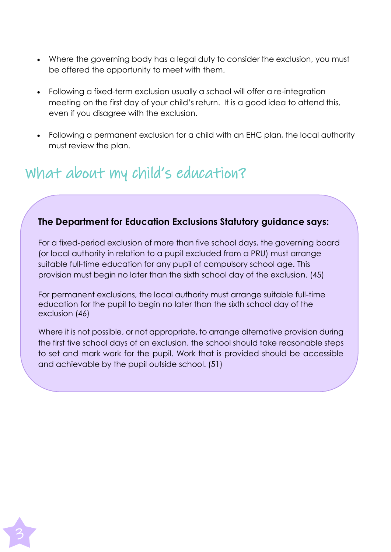- Where the governing body has a legal duty to consider the exclusion, you must be offered the opportunity to meet with them.
- Following a fixed-term exclusion usually a school will offer a re-integration meeting on the first day of your child's return. It is a good idea to attend this, even if you disagree with the exclusion.
- Following a permanent exclusion for a child with an EHC plan, the local authority must review the plan.

## What about my child's education?

#### **The Department for Education Exclusions Statutory guidance says:**

For a fixed-period exclusion of more than five school days, the governing board (or local authority in relation to a pupil excluded from a PRU) must arrange suitable full-time education for any pupil of compulsory school age. This provision must begin no later than the sixth school day of the exclusion. (45)

For permanent exclusions, the local authority must arrange suitable full-time education for the pupil to begin no later than the sixth school day of the exclusion (46)

Where it is not possible, or not appropriate, to arrange alternative provision during the first five school days of an exclusion, the school should take reasonable steps to set and mark work for the pupil. Work that is provided should be accessible and achievable by the pupil outside school. (51)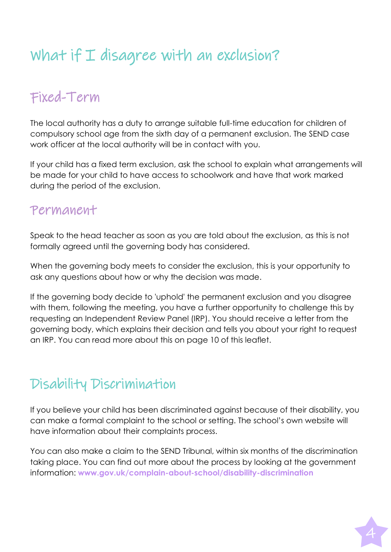# What if  $I$  disagree with an exclusion?

### Fixed-Term

The local authority has a duty to arrange suitable full-time education for children of compulsory school age from the sixth day of a permanent exclusion. The SEND case work officer at the local authority will be in contact with you.

If your child has a fixed term exclusion, ask the school to explain what arrangements will be made for your child to have access to schoolwork and have that work marked during the period of the exclusion.

### Permanent

Speak to the head teacher as soon as you are told about the exclusion, as this is not formally agreed until the governing body has considered.

When the governing body meets to consider the exclusion, this is your opportunity to ask any questions about how or why the decision was made.

If the governing body decide to 'uphold' the permanent exclusion and you disagree with them, following the meeting, you have a further opportunity to challenge this by requesting an Independent Review Panel (IRP). You should receive a letter from the governing body, which explains their decision and tells you about your right to request an IRP. You can read more about this on page 10 of this leaflet.

### Disability Discrimination

If you believe your child has been discriminated against because of their disability, you can make a formal complaint to the school or setting. The school's own website will have information about their complaints process.

You can also make a claim to the SEND Tribunal, within six months of the discrimination taking place. You can find out more about the process by looking at the government information: **[www.gov.uk/complain-about-school/disability-discrimination](http://www.gov.uk/complain-about-school/disability-discrimination)**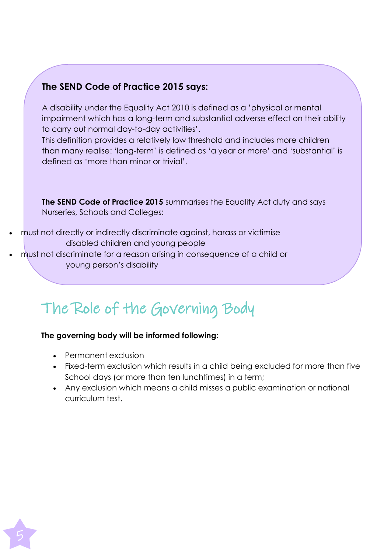#### **The SEND Code of Practice 2015 says:**

A disability under the Equality Act 2010 is defined as a 'physical or mental impairment which has a long-term and substantial adverse effect on their ability to carry out normal day-to-day activities'.

This definition provides a relatively low threshold and includes more children than many realise: 'long-term' is defined as 'a year or more' and 'substantial' is defined as 'more than minor or trivial'.

**The SEND Code of Practice 2015** summarises the Equality Act duty and says Nurseries, Schools and Colleges:

- must not directly or indirectly discriminate against, harass or victimise disabled children and young people
- must not discriminate for a reason arising in consequence of a child or young person's disability

# The Role of the Governing Body

#### **The governing body will be informed following:**

- Permanent exclusion
- Fixed-term exclusion which results in a child being excluded for more than five School days (or more than ten lunchtimes) in a term;
- Any exclusion which means a child misses a public examination or national curriculum test.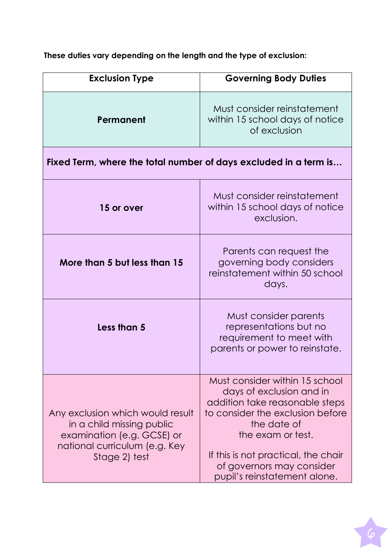**Exclusion Type Governing Body Duties Permanent** Must consider reinstatement within 15 school days of notice of exclusion **Fixed Term, where the total number of days excluded in a term is… 15 or over** Must consider reinstatement within 15 school days of notice exclusion. **More than 5 but less than 15** Parents can request the governing body considers reinstatement within 50 school days. **Less than 5** Must consider parents representations but no requirement to meet with parents or power to reinstate. Any exclusion which would result in a child missing public examination (e.g. GCSE) or national curriculum (e.g. Key Stage 2) test Must consider within 15 school days of exclusion and in addition take reasonable steps to consider the exclusion before the date of the exam or test. If this is not practical, the chair of governors may consider pupil's reinstatement alone.

**These duties vary depending on the length and the type of exclusion:**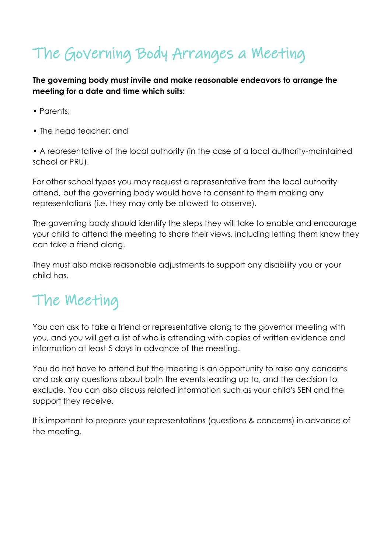# The Governing Body Arranges a Meeting

**The governing body must invite and make reasonable endeavors to arrange the meeting for a date and time which suits:**

- Parents;
- The head teacher; and

• A representative of the local authority (in the case of a local authority-maintained school or PRU).

For other school types you may request a representative from the local authority attend, but the governing body would have to consent to them making any representations (i.e. they may only be allowed to observe).

The governing body should identify the steps they will take to enable and encourage your child to attend the meeting to share their views, including letting them know they can take a friend along.

They must also make reasonable adjustments to support any disability you or your child has.

## The Meeting

You can ask to take a friend or representative along to the governor meeting with you, and you will get a list of who is attending with copies of written evidence and information at least 5 days in advance of the meeting.

You do not have to attend but the meeting is an opportunity to raise any concerns and ask any questions about both the events leading up to, and the decision to exclude. You can also discuss related information such as your child's SEN and the support they receive.

It is important to prepare your representations (questions & concerns) in advance of the meeting.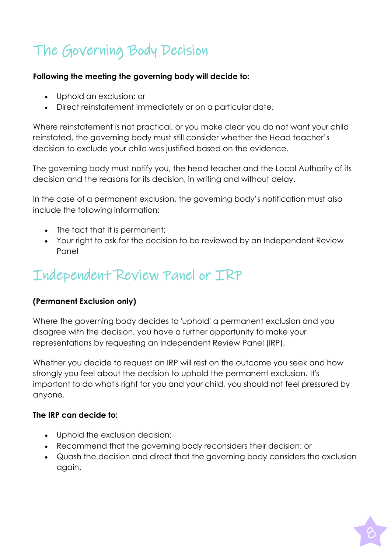## The Governing Body Decision

#### **Following the meeting the governing body will decide to:**

- Uphold an exclusion; or
- Direct reinstatement immediately or on a particular date.

Where reinstatement is not practical, or you make clear you do not want your child reinstated, the governing body must still consider whether the Head teacher's decision to exclude your child was justified based on the evidence.

The governing body must notify you, the head teacher and the Local Authority of its decision and the reasons for its decision, in writing and without delay.

In the case of a permanent exclusion, the governing body's notification must also include the following information:

- The fact that it is permanent:
- Your right to ask for the decision to be reviewed by an Independent Review Panel

### Independent Review Panel or IRP

#### **(Permanent Exclusion only)**

Where the governing body decides to 'uphold' a permanent exclusion and you disagree with the decision, you have a further opportunity to make your representations by requesting an Independent Review Panel (IRP).

Whether you decide to request an IRP will rest on the outcome you seek and how strongly you feel about the decision to uphold the permanent exclusion. It's important to do what's right for you and your child, you should not feel pressured by anyone.

#### **The IRP can decide to:**

- Uphold the exclusion decision;
- Recommend that the governing body reconsiders their decision; or
- Quash the decision and direct that the governing body considers the exclusion again.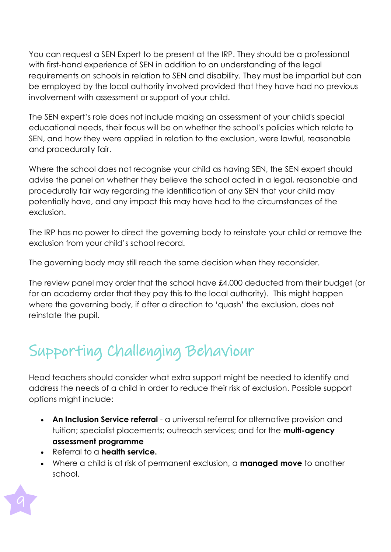You can request a SEN Expert to be present at the IRP. They should be a professional with first-hand experience of SEN in addition to an understanding of the legal requirements on schools in relation to SEN and disability. They must be impartial but can be employed by the local authority involved provided that they have had no previous involvement with assessment or support of your child.

The SEN expert's role does not include making an assessment of your child's special educational needs, their focus will be on whether the school's policies which relate to SEN, and how they were applied in relation to the exclusion, were lawful, reasonable and procedurally fair.

Where the school does not recognise your child as having SEN, the SEN expert should advise the panel on whether they believe the school acted in a legal, reasonable and procedurally fair way regarding the identification of any SEN that your child may potentially have, and any impact this may have had to the circumstances of the exclusion.

The IRP has no power to direct the governing body to reinstate your child or remove the exclusion from your child's school record.

The governing body may still reach the same decision when they reconsider.

The review panel may order that the school have £4,000 deducted from their budget (or for an academy order that they pay this to the local authority). This might happen where the governing body, if after a direction to 'quash' the exclusion, does not reinstate the pupil.

# Supporting Challenging Behaviour

Head teachers should consider what extra support might be needed to identify and address the needs of a child in order to reduce their risk of exclusion. Possible support options might include:

- **An Inclusion Service referral** a universal referral for alternative provision and tuition; specialist placements; outreach services; and for the **multi-agency assessment programme**
- Referral to a **health service.**
- Where a child is at risk of permanent exclusion, a **managed move** to another school.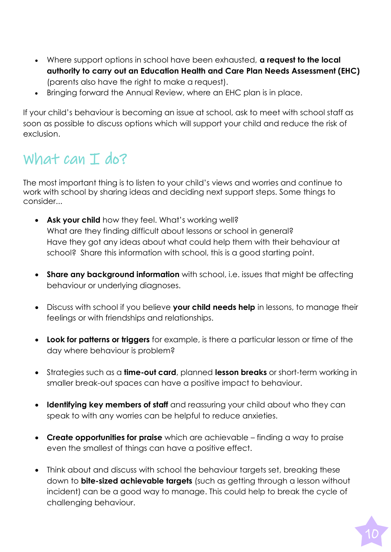- Where support options in school have been exhausted, **a request to the local authority to carry out an Education Health and Care Plan Needs Assessment (EHC)** (parents also have the right to make a request).
- Bringing forward the Annual Review, where an EHC plan is in place.

If your child's behaviour is becoming an issue at school, ask to meet with school staff as soon as possible to discuss options which will support your child and reduce the risk of exclusion.

## What can I do?

The most important thing is to listen to your child's views and worries and continue to work with school by sharing ideas and deciding next support steps. Some things to consider...

- **Ask your child** how they feel. What's working well? What are they finding difficult about lessons or school in general? Have they got any ideas about what could help them with their behaviour at school? Share this information with school, this is a good starting point.
- **Share any background information** with school, i.e. issues that might be affecting behaviour or underlying diagnoses.
- Discuss with school if you believe **your child needs help** in lessons, to manage their feelings or with friendships and relationships.
- **Look for patterns or triggers** for example, is there a particular lesson or time of the day where behaviour is problem?
- Strategies such as a **time-out card**, planned **lesson breaks** or short-term working in smaller break-out spaces can have a positive impact to behaviour.
- **Identifying key members of staff** and reassuring your child about who they can speak to with any worries can be helpful to reduce anxieties.
- **Create opportunities for praise** which are achievable finding a way to praise even the smallest of things can have a positive effect.
- Think about and discuss with school the behaviour targets set, breaking these down to **bite-sized achievable targets** (such as getting through a lesson without incident) can be a good way to manage. This could help to break the cycle of challenging behaviour.

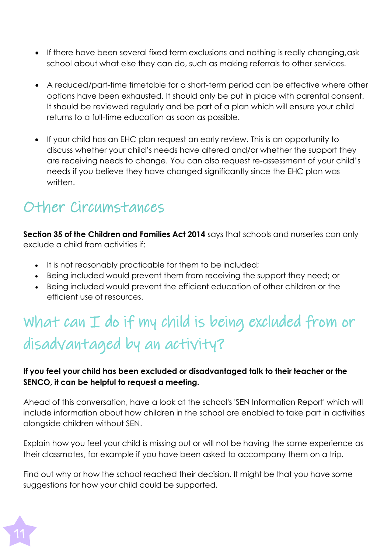- If there have been several fixed term exclusions and nothing is really changing, ask school about what else they can do, such as making referrals to other services.
- A reduced/part-time timetable for a short-term period can be effective where other options have been exhausted. It should only be put in place with parental consent. It should be reviewed regularly and be part of a plan which will ensure your child returns to a full-time education as soon as possible.
- If your child has an EHC plan request an early review. This is an opportunity to discuss whether your child's needs have altered and/or whether the support they are receiving needs to change. You can also request re-assessment of your child's needs if you believe they have changed significantly since the EHC plan was written.

## Other Circumstances

**Section 35 of the Children and Families Act 2014** says that schools and nurseries can only exclude a child from activities if:

- It is not reasonably practicable for them to be included;
- Being included would prevent them from receiving the support they need; or
- Being included would prevent the efficient education of other children or the efficient use of resources.

# What can I do if my child is being excluded from or disadvantaged by an activity?

#### **If you feel your child has been excluded or disadvantaged talk to their teacher or the SENCO, it can be helpful to request a meeting.**

Ahead of this conversation, have a look at the school's 'SEN Information Report' which will include information about how children in the school are enabled to take part in activities alongside children without SEN.

Explain how you feel your child is missing out or will not be having the same experience as their classmates, for example if you have been asked to accompany them on a trip.

Find out why or how the school reached their decision. It might be that you have some suggestions for how your child could be supported.

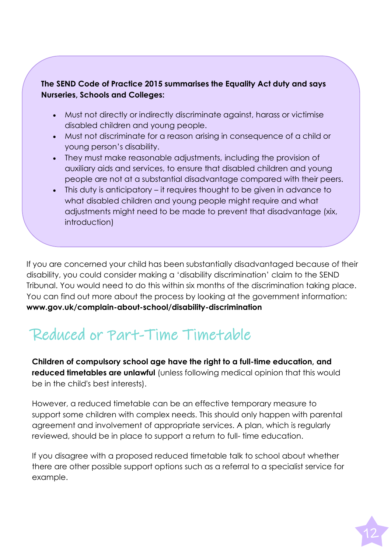#### **The SEND Code of Practice 2015 summarises the Equality Act duty and says Nurseries, Schools and Colleges:**

- Must not directly or indirectly discriminate against, harass or victimise disabled children and young people.
- Must not discriminate for a reason arising in consequence of a child or young person's disability.
- They must make reasonable adjustments, including the provision of auxiliary aids and services, to ensure that disabled children and young people are not at a substantial disadvantage compared with their peers.
- This duty is anticipatory it requires thought to be given in advance to what disabled children and young people might require and what adjustments might need to be made to prevent that disadvantage (xix, introduction)

If you are concerned your child has been substantially disadvantaged because of their disability, you could consider making a 'disability discrimination' claim to the SEND Tribunal. You would need to do this within six months of the discrimination taking place. You can find out more about the process by looking at the government information: **[www.gov.uk/complain-about-school/disability-discrimination](http://www.gov.uk/complain-about-school/disability-discrimination)**

# Reduced or Part-Time Timetable

**Children of compulsory school age have the right to a full-time education, and reduced timetables are unlawful** (unless following medical opinion that this would be in the child's best interests).

However, a reduced timetable can be an effective temporary measure to support some children with complex needs. This should only happen with parental agreement and involvement of appropriate services. A plan, which is regularly reviewed, should be in place to support a return to full- time education.

If you disagree with a proposed reduced timetable talk to school about whether there are other possible support options such as a referral to a specialist service for example.

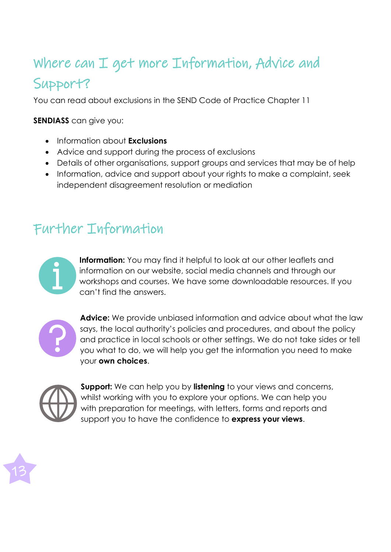## Where can I get more Information, Advice and Support?

You can read about exclusions in the SEND Code of Practice Chapter 11

**SENDIASS** can give you:

- Information about **Exclusions**
- Advice and support during the process of exclusions
- Details of other organisations, support groups and services that may be of help
- Information, advice and support about your rights to make a complaint, seek independent disagreement resolution or mediation

### Further Information



**Information:** You may find it helpful to look at our other leaflets and information on our website, social media channels and through our workshops and courses. We have some downloadable resources. If you can't find the answers.



**Advice:** We provide unbiased information and advice about what the law says, the local authority's policies and procedures, and about the policy and practice in local schools or other settings. We do not take sides or tell you what to do, we will help you get the information you need to make your **own choices**.



**Support:** We can help you by **listening** to your views and concerns, whilst working with you to explore your options. We can help you with preparation for meetings, with letters, forms and reports and support you to have the confidence to **express your views**.